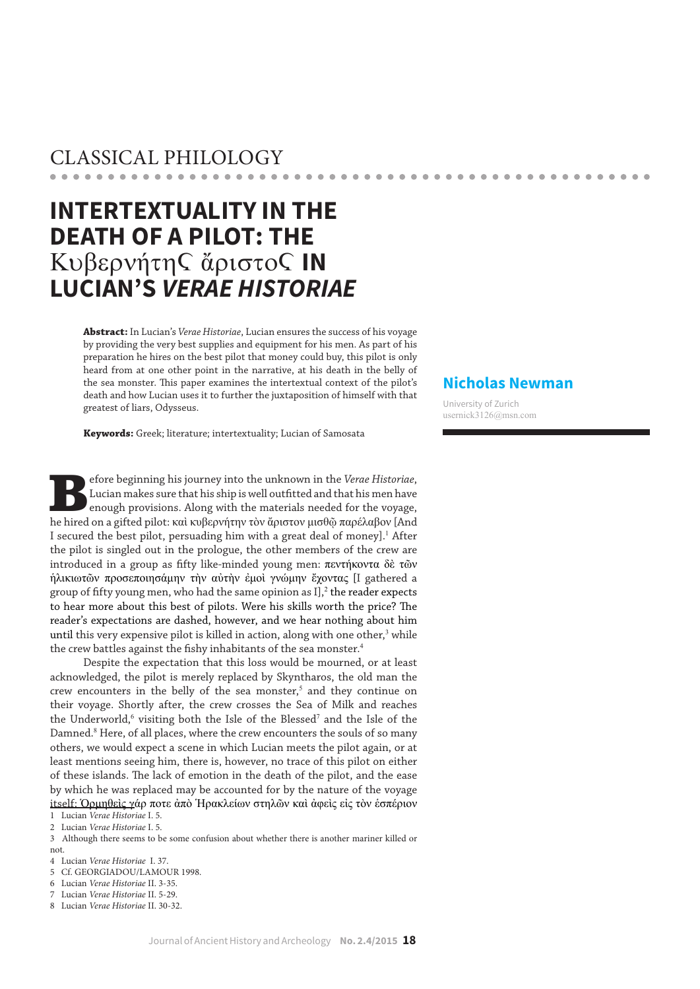# CLASSICAL PHILOLOGY

# **INTERTEXTUALITY IN THE DEATH OF A PILOT: THE**  Kυβερνήτης ἄριστος IN **LUCIAN'S** *VERAE HISTORIAE*

**Abstract:** In Lucian's *Verae Historiae*, Lucian ensures the success of his voyage by providing the very best supplies and equipment for his men. As part of his preparation he hires on the best pilot that money could buy, this pilot is only heard from at one other point in the narrative, at his death in the belly of the sea monster. This paper examines the intertextual context of the pilot's death and how Lucian uses it to further the juxtaposition of himself with that greatest of liars, Odysseus.

**Keywords:** Greek; literature; intertextuality; Lucian of Samosata

Before beginning his journey into the unknown in the *Verae Historiae*, Lucian makes sure that his ship is well outfitted and that his men have enough provisions. Along with the materials needed for the voyage, he hired on a gifted pilot: καὶ κυβερνήτην τὸν ἄριστον μισθῷ παρέλαβον [And I secured the best pilot, persuading him with a great deal of money].<sup>1</sup> After the pilot is singled out in the prologue, the other members of the crew are introduced in a group as fifty like-minded young men: πεντήκοντα δὲ τῶν ἡλικιωτῶν προσεποιησάμην τὴν αὐτὴν ἐμοὶ γνώμην ἔχοντας [I gathered a group of fifty young men, who had the same opinion as  $I$ ],<sup>2</sup> the reader expects to hear more about this best of pilots. Were his skills worth the price? The reader's expectations are dashed, however, and we hear nothing about him until this very expensive pilot is killed in action, along with one other, $3$  while the crew battles against the fishy inhabitants of the sea monster.<sup>4</sup>

Despite the expectation that this loss would be mourned, or at least acknowledged, the pilot is merely replaced by Skyntharos, the old man the crew encounters in the belly of the sea monster, $<sup>5</sup>$  and they continue on</sup> their voyage. Shortly after, the crew crosses the Sea of Milk and reaches the Underworld,<sup>6</sup> visiting both the Isle of the Blessed<sup>7</sup> and the Isle of the Damned.<sup>8</sup> Here, of all places, where the crew encounters the souls of so many others, we would expect a scene in which Lucian meets the pilot again, or at least mentions seeing him, there is, however, no trace of this pilot on either of these islands. The lack of emotion in the death of the pilot, and the ease by which he was replaced may be accounted for by the nature of the voyage itself: Ὁρμηθεὶς γάρ ποτε ἀπὸ Ἡρακλείων στηλῶν καὶ ἀφεὶς εἰς τὸν ἑσπέριον 1 Lucian *Verae Historiae* I. 5.

2 Lucian *Verae Historiae* I. 5.

3 Although there seems to be some confusion about whether there is another mariner killed or not.

- 4 Lucian *Verae Historiae* I. 37.
- 5 Cf. GEORGIADOU/LAMOUR 1998.

6 Lucian *Verae Historiae* II. 3-35.

7 Lucian *Verae Historiae* II. 5-29.

8 Lucian *Verae Historiae* II. 30-32.

# **Nicholas Newman**

 $-0.00$ 

University of Zurich usernick3126@msn.com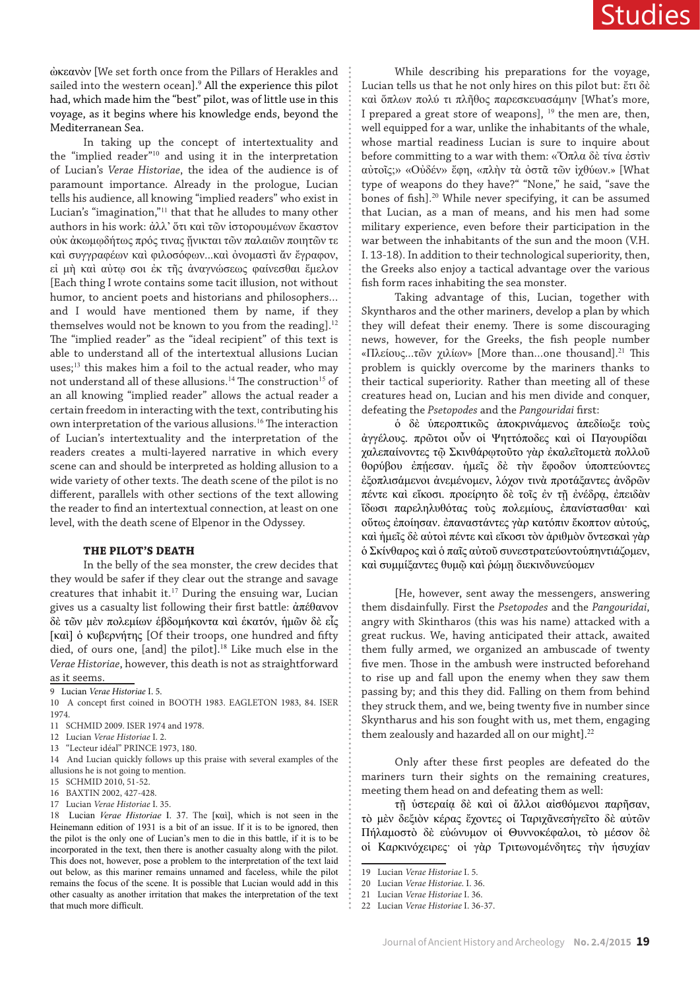ὠκεανὸν [We set forth once from the Pillars of Herakles and sailed into the western ocean].<sup>9</sup> All the experience this pilot had, which made him the "best" pilot, was of little use in this voyage, as it begins where his knowledge ends, beyond the Mediterranean Sea.

In taking up the concept of intertextuality and the "implied reader"<sup>10</sup> and using it in the interpretation of Lucian's *Verae Historiae*, the idea of the audience is of paramount importance. Already in the prologue, Lucian tells his audience, all knowing "implied readers" who exist in Lucian's "imagination,"<sup>11</sup> that that he alludes to many other authors in his work: ἀλλ' ὅτι καὶ τῶν ἱστορουμένων ἕκαστον οὐκ ἀκωμῳδήτως πρός τινας ᾔνικται τῶν παλαιῶν ποιητῶν τε καὶ συγγραφέων καὶ φιλοσόφων...καὶ ὀνομαστὶ ἄν ἔγραφον, εἰ μὴ καὶ αὐτῳ σοι ἐκ τῆς ἀναγνώσεως φαίνεσθαι ἔμελον [Each thing I wrote contains some tacit illusion, not without humor, to ancient poets and historians and philosophers… and I would have mentioned them by name, if they themselves would not be known to you from the reading].<sup>12</sup> The "implied reader" as the "ideal recipient" of this text is able to understand all of the intertextual allusions Lucian uses;<sup>13</sup> this makes him a foil to the actual reader, who may not understand all of these allusions.<sup>14</sup> The construction<sup>15</sup> of an all knowing "implied reader" allows the actual reader a certain freedom in interacting with the text, contributing his own interpretation of the various allusions.<sup>16</sup> The interaction of Lucian's intertextuality and the interpretation of the readers creates a multi-layered narrative in which every scene can and should be interpreted as holding allusion to a wide variety of other texts. The death scene of the pilot is no different, parallels with other sections of the text allowing the reader to find an intertextual connection, at least on one level, with the death scene of Elpenor in the Odyssey.

#### **THE PILOT'S DEATH**

In the belly of the sea monster, the crew decides that they would be safer if they clear out the strange and savage creatures that inhabit it.<sup>17</sup> During the ensuing war, Lucian gives us a casualty list following their first battle: ἀπέθανον δὲ τῶν μὲν πολεμίων ἑβδομήκοντα καὶ ἑκατόν, ἡμῶν δὲ εἷς [καὶ] ὁ κυβερνήτης [Of their troops, one hundred and fifty died, of ours one, [and] the pilot].<sup>18</sup> Like much else in the *Verae Historiae*, however, this death is not as straightforward as it seems.

9 Lucian *Verae Historiae* I. 5.

- 12 Lucian *Verae Historiae* I. 2.
- 13 "Lecteur idéal" PRINCE 1973, 180.

14 And Lucian quickly follows up this praise with several examples of the allusions he is not going to mention.

15 SCHMID 2010, 51-52.

While describing his preparations for the voyage, Lucian tells us that he not only hires on this pilot but: ἔτι δὲ καὶ ὅπλων πολύ τι πλῆθος παρεσκευασάμην [What's more, I prepared a great store of weapons],  $19$  the men are, then, well equipped for a war, unlike the inhabitants of the whale, whose martial readiness Lucian is sure to inquire about before committing to a war with them: «Ὅπλα δὲ τίνα ἐστὶν αὐτοῖς;» «Οὐδέν» ἔφη, «πλὴν τὰ ὀστᾶ τῶν ἰχθύων.» [What type of weapons do they have?" "None," he said, "save the bones of fish].<sup>20</sup> While never specifying, it can be assumed that Lucian, as a man of means, and his men had some military experience, even before their participation in the war between the inhabitants of the sun and the moon (V.H. I. 13-18). In addition to their technological superiority, then, the Greeks also enjoy a tactical advantage over the various fish form races inhabiting the sea monster.

Taking advantage of this, Lucian, together with Skyntharos and the other mariners, develop a plan by which they will defeat their enemy. There is some discouraging news, however, for the Greeks, the fish people number «Πλείους...τῶν χιλίων» [More than…one thousand].<sup>21</sup> This problem is quickly overcome by the mariners thanks to their tactical superiority. Rather than meeting all of these creatures head on, Lucian and his men divide and conquer, defeating the *Psetopodes* and the *Pangouridai* first:

ὁ δὲ ὑπεροπτικῶς ἀποκρινάμενος ἀπεδίωξε τοὺς ἀγγέλους. πρῶτοι οὖν οἱ Ψηττόποδες καὶ οἱ Παγουρίδαι χαλεπαίνοντες τῷ Σκινθάρῳτοῦτο γὰρ ἐκαλεῖτομετὰ πολλοῦ θορύβου ἐπῄεσαν. ἡμεῖς δὲ τὴν ἔφοδον ὑποπτεύοντες ἐξοπλισάμενοι ἀνεμένομεν, λόχον τινὰ προτάξαντες ἀνδρῶν πέντε καὶ εἴκοσι. προείρητο δὲ τοῖς ἐν τῇ ἐνέδρᾳ, ἐπειδὰν ἴδωσι παρεληλυθότας τοὺς πολεμίους, ἐπανίστασθαι· καὶ οὕτως ἐποίησαν. ἐπαναστάντες γὰρ κατόπιν ἔκοπτον αὐτούς, καὶ ἡμεῖς δὲ αὐτοὶ πέντε καὶ εἴκοσι τὸν ἀριθμὸν ὄντεσκαὶ γὰρ ὁ Σκίνθαρος καὶ ὁ παῖς αὐτοῦ συνεστρατεύοντοὑπηντιάζομεν, καὶ συμμίξαντες θυμῷ καὶ ῥώμῃ διεκινδυνεύομεν

[He, however, sent away the messengers, answering them disdainfully. First the *Psetopodes* and the *Pangouridai*, angry with Skintharos (this was his name) attacked with a great ruckus. We, having anticipated their attack, awaited them fully armed, we organized an ambuscade of twenty five men. Those in the ambush were instructed beforehand to rise up and fall upon the enemy when they saw them passing by; and this they did. Falling on them from behind they struck them, and we, being twenty five in number since Skyntharus and his son fought with us, met them, engaging them zealously and hazarded all on our might].<sup>22</sup>

Only after these first peoples are defeated do the mariners turn their sights on the remaining creatures, meeting them head on and defeating them as well:

τῇ ὑστεραίᾳ δὲ καὶ οἱ ἄλλοι αἰσθόμενοι παρῆσαν, τὸ μὲν δεξιὸν κέρας ἔχοντες οἱ Ταριχᾶνεσἡγεῖτο δὲ αὐτῶν Πήλαμοστὸ δὲ εὐώνυμον οἱ Θυννοκέφαλοι, τὸ μέσον δὲ οἱ Καρκινόχειρες· οἱ γὰρ Τριτωνομένδητες τὴν ἡσυχίαν

- 20 Lucian *Verae Historiae*. I. 36.
- 21 Lucian *Verae Historiae* I. 36.

<sup>10</sup> A concept first coined in BOOTH 1983. EAGLETON 1983, 84. ISER 1974.

<sup>11</sup> SCHMID 2009. ISER 1974 and 1978.

<sup>16</sup> BAXTIN 2002, 427-428.

<sup>17</sup> Lucian *Verae Historiae* I. 35.

<sup>18</sup> Lucian *Verae Historiae* I. 37. The [καὶ], which is not seen in the Heinemann edition of 1931 is a bit of an issue. If it is to be ignored, then the pilot is the only one of Lucian's men to die in this battle, if it is to be incorporated in the text, then there is another casualty along with the pilot. This does not, however, pose a problem to the interpretation of the text laid out below, as this mariner remains unnamed and faceless, while the pilot remains the focus of the scene. It is possible that Lucian would add in this other casualty as another irritation that makes the interpretation of the text that much more difficult.

<sup>19</sup> Lucian *Verae Historiae* I. 5.

<sup>22</sup> Lucian *Verae Historiae* I. 36-37.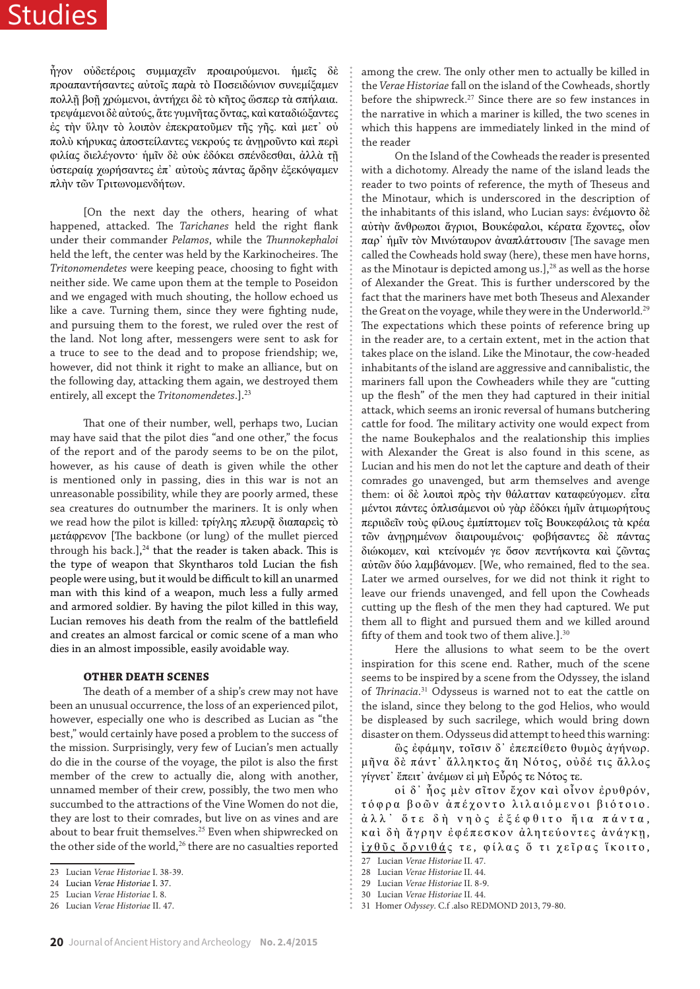ἦγον οὐδετέροις συμμαχεῖν προαιρούμενοι. ἡμεῖς δὲ προαπαντήσαντες αὐτοῖς παρὰ τὸ Ποσειδώνιον συνεμίξαμεν πολλῇ βοῇ χρώμενοι, ἀντήχει δὲ τὸ κῆτος ὥσπερ τὰ σπήλαια. τρεψάμενοι δὲ αὐτούς, ἅτε γυμνῆτας ὄντας, καὶ καταδιώξαντες ές την ΰλην τὸ λοιπὸν ἐπεκρατοῦμεν τῆς γῆς. καὶ μετ' οὐ πολὺ κήρυκας ἀποστείλαντες νεκρούς τε ἀνῃροῦντο καὶ περὶ φιλίας διελέγοντο· ἡμῖν δὲ οὐκ ἐδόκει σπένδεσθαι, ἀλλὰ τῇ ὑστεραίᾳ χωρήσαντες ἐπ᾿ αὐτοὺς πάντας ἄρδην ἐξεκόψαμεν πλὴν τῶν Τριτωνομενδήτων.

[On the next day the others, hearing of what happened, attacked. The *Tarichanes* held the right flank under their commander *Pelamos*, while the *Thunnokephaloi* held the left, the center was held by the Karkinocheires. The *Tritonomendetes* were keeping peace, choosing to fight with neither side. We came upon them at the temple to Poseidon and we engaged with much shouting, the hollow echoed us like a cave. Turning them, since they were fighting nude, and pursuing them to the forest, we ruled over the rest of the land. Not long after, messengers were sent to ask for a truce to see to the dead and to propose friendship; we, however, did not think it right to make an alliance, but on the following day, attacking them again, we destroyed them entirely, all except the *Tritonomendetes*.].<sup>23</sup>

That one of their number, well, perhaps two, Lucian may have said that the pilot dies "and one other," the focus of the report and of the parody seems to be on the pilot, however, as his cause of death is given while the other is mentioned only in passing, dies in this war is not an unreasonable possibility, while they are poorly armed, these sea creatures do outnumber the mariners. It is only when we read how the pilot is killed: τρίγλης πλευρῷ διαπαρεὶς τὸ μετάφρενον [The backbone (or lung) of the mullet pierced through his back.], $^{24}$  that the reader is taken aback. This is the type of weapon that Skyntharos told Lucian the fish people were using, but it would be difficult to kill an unarmed man with this kind of a weapon, much less a fully armed and armored soldier. By having the pilot killed in this way, Lucian removes his death from the realm of the battlefield and creates an almost farcical or comic scene of a man who dies in an almost impossible, easily avoidable way.

#### **OTHER DEATH SCENES**

The death of a member of a ship's crew may not have been an unusual occurrence, the loss of an experienced pilot, however, especially one who is described as Lucian as "the best," would certainly have posed a problem to the success of the mission. Surprisingly, very few of Lucian's men actually do die in the course of the voyage, the pilot is also the first member of the crew to actually die, along with another, unnamed member of their crew, possibly, the two men who succumbed to the attractions of the Vine Women do not die, they are lost to their comrades, but live on as vines and are about to bear fruit themselves.<sup>25</sup> Even when shipwrecked on the other side of the world,<sup>26</sup> there are no casualties reported

among the crew. The only other men to actually be killed in the *Verae Historiae* fall on the island of the Cowheads, shortly before the shipwreck.<sup>27</sup> Since there are so few instances in the narrative in which a mariner is killed, the two scenes in which this happens are immediately linked in the mind of the reader

On the Island of the Cowheads the reader is presented with a dichotomy. Already the name of the island leads the reader to two points of reference, the myth of Theseus and the Minotaur, which is underscored in the description of the inhabitants of this island, who Lucian says: ἐνέμοντο δὲ αὐτὴν ἄνθρωποι ἄγριοι, Βουκέφαλοι, κέρατα ἔχοντες, οἷον παρ᾿ ἡμῖν τὸν Μινώταυρον ἀναπλάττουσιν [The savage men called the Cowheads hold sway (here), these men have horns, as the Minotaur is depicted among us.], $^{28}$  as well as the horse of Alexander the Great. This is further underscored by the fact that the mariners have met both Theseus and Alexander the Great on the voyage, while they were in the Underworld.<sup>29</sup> The expectations which these points of reference bring up in the reader are, to a certain extent, met in the action that takes place on the island. Like the Minotaur, the cow-headed inhabitants of the island are aggressive and cannibalistic, the mariners fall upon the Cowheaders while they are "cutting up the flesh" of the men they had captured in their initial attack, which seems an ironic reversal of humans butchering cattle for food. The military activity one would expect from the name Boukephalos and the realationship this implies with Alexander the Great is also found in this scene, as Lucian and his men do not let the capture and death of their comrades go unavenged, but arm themselves and avenge them: οἱ δὲ λοιποὶ πρὸς τὴν θάλατταν καταφεύγομεν. εἶτα μέντοι πάντες ὁπλισάμενοι οὐ γὰρ ἐδόκει ἡμῖν ἀτιμωρήτους περιιδεῖν τοὺς φίλους ἐμπίπτομεν τοῖς Βουκεφάλοις τὰ κρέα τῶν ἀνῃρημένων διαιρουμένοις· φοβήσαντες δὲ πάντας διώκομεν, καὶ κτείνομέν γε ὅσον πεντήκοντα καὶ ζῶντας αὐτῶν δύο λαμβάνομεν. [We, who remained, fled to the sea. Later we armed ourselves, for we did not think it right to leave our friends unavenged, and fell upon the Cowheads cutting up the flesh of the men they had captured. We put them all to flight and pursued them and we killed around fifty of them and took two of them alive.].<sup>30</sup>

Here the allusions to what seem to be the overt inspiration for this scene end. Rather, much of the scene seems to be inspired by a scene from the Odyssey, the island of *Thrinacia*. <sup>31</sup> Odysseus is warned not to eat the cattle on the island, since they belong to the god Helios, who would be displeased by such sacrilege, which would bring down disaster on them. Odysseus did attempt to heed this warning:

ὣς ἐφάμην, τοῖσιν δ᾽ ἐπεπείθετο θυμὸς ἀγήνωρ. μῆνα δὲ πάντ᾽ ἄλληκτος ἄη Νότος, οὐδέ τις ἄλλος γίγνετ᾽ ἔπειτ᾽ ἀνέμων εἰ μὴ Εὖρός τε Νότος τε.

οἱ δ᾽ ἧος μὲν σῖτον ἔχον καὶ οἶνον ἐρυθρόν, τόφρα βοῶν ἀπέχοντο λιλαιόμενοι βιότοιο . ἀλλ᾽ ὅτε δ ὴ νηὸς ἐξέφθιτο ἤια πάντα , καὶ δὴ ἄγρην ἐφέπεσκον ἀλητεύοντες ἀνάγκῃ, ίχθῦς ὄρνιθάς τε, φίλας ὅ τι χεῖρας ἵκοιτο, 27 Lucian *Verae Historiae* II. 47.

<sup>23</sup> Lucian *Verae Historiae* I. 38-39.

<sup>24</sup> Lucian *Verae Historiae* I. 37.

<sup>25</sup> Lucian *Verae Historiae* I. 8.

<sup>26</sup> Lucian *Verae Historiae* II. 47.

<sup>28</sup> Lucian *Verae Historiae* II. 44.

<sup>29</sup> Lucian *Verae Historiae* II. 8-9.

<sup>30</sup> Lucian *Verae Historiae* II. 44.

<sup>31</sup> Homer *Odyssey*. C.f .also REDMOND 2013, 79-80.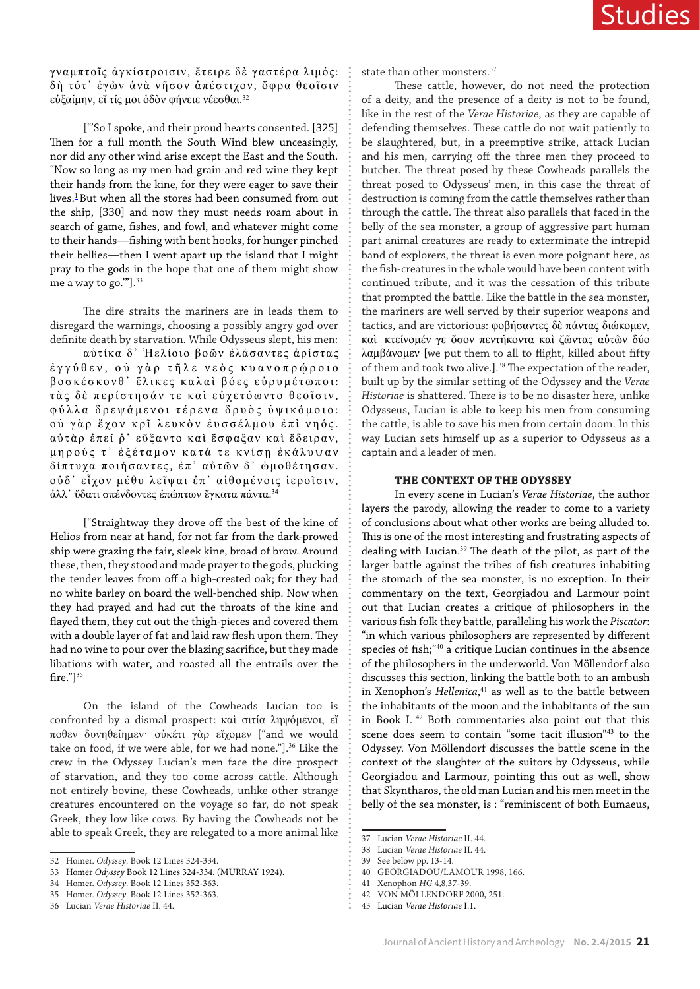γναμπτοῖς ἀγκίστροισιν, ἔτειρε δὲ γαστέρα λιμός: δὴ τότ᾽ ἐγὼν ἀνὰ νῆσον ἀπέστιχον, ὄφρα θεοῖσιν εὐξαίμην, εἴ τίς μοι ὁδὸν φήνειε νέεσθαι. 32

["'So I spoke, and their proud hearts consented. [325] Then for a full month the South Wind blew unceasingly, nor did any other wind arise except the East and the South. "Now so long as my men had grain and red wine they kept their hands from the kine, for they were eager to save their lives.<sup>1</sup> But when all the stores had been consumed from out the ship, [330] and now they must needs roam about in search of game, fishes, and fowl, and whatever might come to their hands—fishing with bent hooks, for hunger pinched their bellies—then I went apart up the island that I might pray to the gods in the hope that one of them might show me a way to go.""].<sup>33</sup>

The dire straits the mariners are in leads them to disregard the warnings, choosing a possibly angry god over definite death by starvation. While Odysseus slept, his men: αὐτίκα δ᾽ Ἠελίοιο βοῶν ἐλάσαντες ἀρίστας ἐγγύθεν , ο ὐ γὰρ τῆλε νεὸς κυανοπρῴροιο βοσκέσκονθ᾽ ἕλικες καλαὶ βόες εὐρυμέτωποι : τὰς δὲ περίστησάν τε καὶ εὐχετόωντο θεοῖσιν, φύλλα δρεψάμενοι τέρενα δρυὸς ὑψικόμοιο : ο ὐ γὰρ ἔχον κρῖ λευκὸν ἐυσσέλμου ἐπὶ νηός. αὐτὰρ ἐπεί ῥ᾽ εὔξαντο καὶ ἔσφαξαν καὶ ἔδειραν , μηρούς τ' έξέταμον κατά τε κνίση έκάλυψαν δίπτυχα ποιήσαντες, ἐπ᾽ αὐτῶν δ ᾽ ὠμοθέτησαν . οὐδ᾽ εἶχον μέθυ λεῖψαι ἐπ᾽ αἰθομένοις ἱεροῖσιν , ἀλλ᾽ ὕδατι σπένδοντες ἐπώπτων ἔγκατα πάντα. 34

["Straightway they drove off the best of the kine of Helios from near at hand, for not far from the dark-prowed ship were grazing the fair, sleek kine, broad of brow. Around these, then, they stood and made prayer to the gods, plucking the tender leaves from off a high-crested oak; for they had no white barley on board the well-benched ship. Now when they had prayed and had cut the throats of the kine and flayed them, they cut out the thigh-pieces and covered them with a double layer of fat and laid raw flesh upon them. They had no wine to pour over the blazing sacrifice, but they made libations with water, and roasted all the entrails over the fire."]<sup>35</sup>

On the island of the Cowheads Lucian too is confronted by a dismal prospect: καὶ σιτία ληψόμενοι, εἴ ποθεν δυνηθείημεν· οὐκέτι γὰρ εἴχομεν ["and we would take on food, if we were able, for we had none."].<sup>36</sup> Like the crew in the Odyssey Lucian's men face the dire prospect of starvation, and they too come across cattle. Although not entirely bovine, these Cowheads, unlike other strange creatures encountered on the voyage so far, do not speak Greek, they low like cows. By having the Cowheads not be able to speak Greek, they are relegated to a more animal like

state than other monsters.<sup>37</sup>

These cattle, however, do not need the protection of a deity, and the presence of a deity is not to be found, like in the rest of the *Verae Historiae*, as they are capable of defending themselves. These cattle do not wait patiently to be slaughtered, but, in a preemptive strike, attack Lucian and his men, carrying off the three men they proceed to butcher. The threat posed by these Cowheads parallels the threat posed to Odysseus' men, in this case the threat of destruction is coming from the cattle themselves rather than through the cattle. The threat also parallels that faced in the belly of the sea monster, a group of aggressive part human part animal creatures are ready to exterminate the intrepid band of explorers, the threat is even more poignant here, as the fish-creatures in the whale would have been content with continued tribute, and it was the cessation of this tribute that prompted the battle. Like the battle in the sea monster, the mariners are well served by their superior weapons and tactics, and are victorious: φοβήσαντες δὲ πάντας διώκομεν, καὶ κτείνομέν γε ὅσον πεντήκοντα καὶ ζῶντας αὐτῶν δύο λαμβάνομεν [we put them to all to flight, killed about fifty of them and took two alive.].<sup>38</sup> The expectation of the reader, built up by the similar setting of the Odyssey and the *Verae Historiae* is shattered. There is to be no disaster here, unlike Odysseus, Lucian is able to keep his men from consuming the cattle, is able to save his men from certain doom. In this way Lucian sets himself up as a superior to Odysseus as a captain and a leader of men.

#### **THE CONTEXT OF THE ODYSSEY**

In every scene in Lucian's *Verae Historiae*, the author layers the parody, allowing the reader to come to a variety of conclusions about what other works are being alluded to. This is one of the most interesting and frustrating aspects of dealing with Lucian.<sup>39</sup> The death of the pilot, as part of the larger battle against the tribes of fish creatures inhabiting the stomach of the sea monster, is no exception. In their commentary on the text, Georgiadou and Larmour point out that Lucian creates a critique of philosophers in the various fish folk they battle, paralleling his work the *Piscator*: "in which various philosophers are represented by different species of fish;"<sup>40</sup> a critique Lucian continues in the absence of the philosophers in the underworld. Von Mӧllendorf also discusses this section, linking the battle both to an ambush in Xenophon's *Hellenica*, <sup>41</sup> as well as to the battle between the inhabitants of the moon and the inhabitants of the sun in Book I. <sup>42</sup> Both commentaries also point out that this scene does seem to contain "some tacit illusion"<sup>43</sup> to the Odyssey. Von Mӧllendorf discusses the battle scene in the context of the slaughter of the suitors by Odysseus, while Georgiadou and Larmour, pointing this out as well, show that Skyntharos, the old man Lucian and his men meet in the belly of the sea monster, is : "reminiscent of both Eumaeus,

÷.

<sup>32</sup> Homer. *Odyssey*. Book 12 Lines 324-334.

<sup>33</sup> Homer *Odyssey* Book 12 Lines 324-334. (MURRAY 1924).

<sup>34</sup> Homer. *Odyssey*. Book 12 Lines 352-363.

<sup>35</sup> Homer. *Odyssey*. Book 12 Lines 352-363.

<sup>36</sup> Lucian *Verae Historiae* II. 44.

<sup>37</sup> Lucian *Verae Historiae* II. 44.

<sup>38</sup> Lucian *Verae Historiae* II. 44.

<sup>39</sup> See below pp. 13-14.

<sup>40</sup> GEORGIADOU/LAMOUR 1998, 166.

<sup>41</sup> Xenophon *HG* 4,8,37-39.

<sup>42</sup> VON MÖLLENDORF 2000, 251.

<sup>43</sup> Lucian *Verae Historiae* I.1.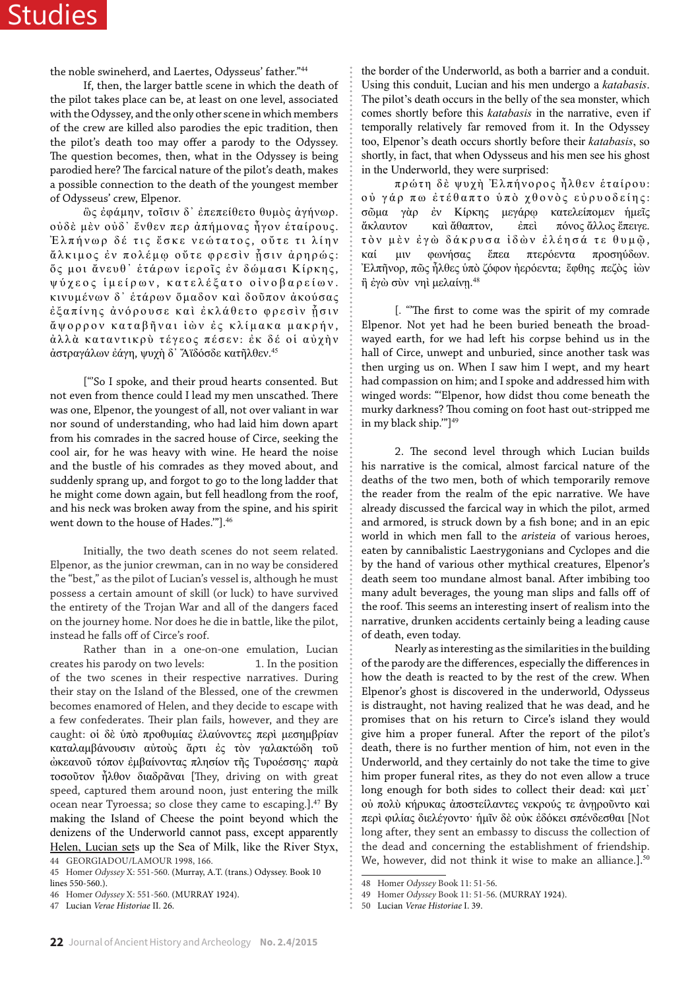# Studies

the noble swineherd, and Laertes, Odysseus' father."<sup>44</sup>

If, then, the larger battle scene in which the death of the pilot takes place can be, at least on one level, associated with the Odyssey, and the only other scene in which members of the crew are killed also parodies the epic tradition, then the pilot's death too may offer a parody to the Odyssey. The question becomes, then, what in the Odyssey is being parodied here? The farcical nature of the pilot's death, makes a possible connection to the death of the youngest member of Odysseus' crew, Elpenor.

ὣς ἐφάμην, τοῖσιν δ᾽ ἐπεπείθετο θυμὸς ἀγήνωρ. οὐδὲ μὲν οὐδ᾽ ἔνθεν περ ἀπήμονας ἦγον ἑταίρους. Έλπήνωρ δέ τις έσκε νεώτατος, ούτε τι λίην άλκιμος ἐν πολέμφ ούτε φρεσὶν ἦσιν ἀρηρώς: ὅ ς μοι ἄνευθ᾽ ἑτάρων ἱεροῖς ἐ ν δώμασι Κίρκης, ψύχεος ἱμείρων , κατελέξατο οἰνοβαρείων . κινυμένων δ᾽ ἑτάρων ὅμαδον καὶ δοῦπον ἀκούσας έξαπίνης ἀνόρουσε καὶ ἐκλάθετο φρεσὶν ἡσιν ἄψορρον καταβῆναι ἰὼν ἐς κλίμακα μακρήν, άλλά καταντικρύ τέγεος πέσεν: έκ δέ οί αύχήν ἀστραγάλων ἐάγη, ψυχὴ δ᾽ Ἄϊδόσδε κατῆλθεν. 45

["'So I spoke, and their proud hearts consented. But not even from thence could I lead my men unscathed. There was one, Elpenor, the youngest of all, not over valiant in war nor sound of understanding, who had laid him down apart from his comrades in the sacred house of Circe, seeking the cool air, for he was heavy with wine. He heard the noise and the bustle of his comrades as they moved about, and suddenly sprang up, and forgot to go to the long ladder that he might come down again, but fell headlong from the roof, and his neck was broken away from the spine, and his spirit went down to the house of Hades.'"].<sup>46</sup>

Initially, the two death scenes do not seem related. Elpenor, as the junior crewman, can in no way be considered the "best," as the pilot of Lucian's vessel is, although he must possess a certain amount of skill (or luck) to have survived the entirety of the Trojan War and all of the dangers faced on the journey home. Nor does he die in battle, like the pilot, instead he falls off of Circe's roof.

Rather than in a one-on-one emulation, Lucian creates his parody on two levels: 1. In the position of the two scenes in their respective narratives. During their stay on the Island of the Blessed, one of the crewmen becomes enamored of Helen, and they decide to escape with a few confederates. Their plan fails, however, and they are caught: οἱ δὲ ὑπὸ προθυμίας ἐλαύνοντες περὶ μεσημβρίαν καταλαμβάνουσιν αὐτοὺς ἄρτι ἐς τὸν γαλακτώδη τοῦ ὠκεανοῦ τόπον ἐμβαίνοντας πλησίον τῆς Τυροέσσης· παρὰ τοσοῦτον ἦλθον διαδρᾶναι [They, driving on with great speed, captured them around noon, just entering the milk ocean near Tyroessa; so close they came to escaping.].<sup>47</sup> By making the Island of Cheese the point beyond which the denizens of the Underworld cannot pass, except apparently Helen, Lucian sets up the Sea of Milk, like the River Styx, 44 GEORGIADOU/LAMOUR 1998, 166.

47 Lucian *Verae Historiae* II. 26.

the border of the Underworld, as both a barrier and a conduit. Using this conduit, Lucian and his men undergo a *katabasis*. The pilot's death occurs in the belly of the sea monster, which comes shortly before this *katabasis* in the narrative, even if temporally relatively far removed from it. In the Odyssey too, Elpenor's death occurs shortly before their *katabasis*, so shortly, in fact, that when Odysseus and his men see his ghost in the Underworld, they were surprised:

πρώτη δὲ ψυχὴ Ἐλπήνορος ἦλθεν ἑταίρου: ο ὐ γάρ π ω ἐτέθαπτο ὑπὸ χθονὸς εὐρυοδείης: σῶμα γὰρ ἐν Κίρκης μεγάρῳ κατελείπομεν ἡμεῖς ἄκλαυτον καὶ ἄθαπτον, ἐπεὶ πόνος ἄλλος ἔπειγε. τὸν μὲν ἐγὼ δάκρυσα ἰδὼν ἐλέησά τ ε θυμῷ , καί μιν φωνήσας ἔπεα πτερόεντα προσηύδων. Ἐλπῆνορ, πῶς ἦλθες ὑπὸ ζόφον ἠερόεντα; ἔφθης πεζὸς ἰὼν ἢ ἐγὼ σὺν νηὶ μελαίνῃ.<sup>48</sup>

[. "'The first to come was the spirit of my comrade Elpenor. Not yet had he been buried beneath the broadwayed earth, for we had left his corpse behind us in the hall of Circe, unwept and unburied, since another task was then urging us on. When I saw him I wept, and my heart had compassion on him; and I spoke and addressed him with winged words: "'Elpenor, how didst thou come beneath the murky darkness? Thou coming on foot hast out-stripped me in my black ship.'"]<sup>49</sup>

2. The second level through which Lucian builds his narrative is the comical, almost farcical nature of the deaths of the two men, both of which temporarily remove the reader from the realm of the epic narrative. We have already discussed the farcical way in which the pilot, armed and armored, is struck down by a fish bone; and in an epic world in which men fall to the *aristeia* of various heroes, eaten by cannibalistic Laestrygonians and Cyclopes and die by the hand of various other mythical creatures, Elpenor's death seem too mundane almost banal. After imbibing too many adult beverages, the young man slips and falls off of the roof. This seems an interesting insert of realism into the narrative, drunken accidents certainly being a leading cause of death, even today.

Nearly as interesting as the similarities in the building of the parody are the differences, especially the differences in how the death is reacted to by the rest of the crew. When Elpenor's ghost is discovered in the underworld, Odysseus is distraught, not having realized that he was dead, and he promises that on his return to Circe's island they would give him a proper funeral. After the report of the pilot's death, there is no further mention of him, not even in the Underworld, and they certainly do not take the time to give him proper funeral rites, as they do not even allow a truce long enough for both sides to collect their dead: καὶ μετ᾿ ού πολύ κήρυκας άποστείλαντες νεκρούς τε άνηροῦντο και περὶ φιλίας διελέγοντο· ἡμῖν δὲ οὐκ ἐδόκει σπένδεσθαι [Not long after, they sent an embassy to discuss the collection of the dead and concerning the establishment of friendship. We, however, did not think it wise to make an alliance.].<sup>50</sup>

<sup>45</sup> Homer *Odyssey* X: 551-560. (Murray, A.T. (trans.) Odyssey. Book 10 lines 550-560.).

<sup>46</sup> Homer *Odyssey* X: 551-560. (MURRAY 1924).

<sup>48</sup> Homer *Odyssey* Book 11: 51-56.

<sup>49</sup> Homer *Odyssey* Book 11: 51-56. (MURRAY 1924).

<sup>50</sup> Lucian *Verae Historiae* I. 39.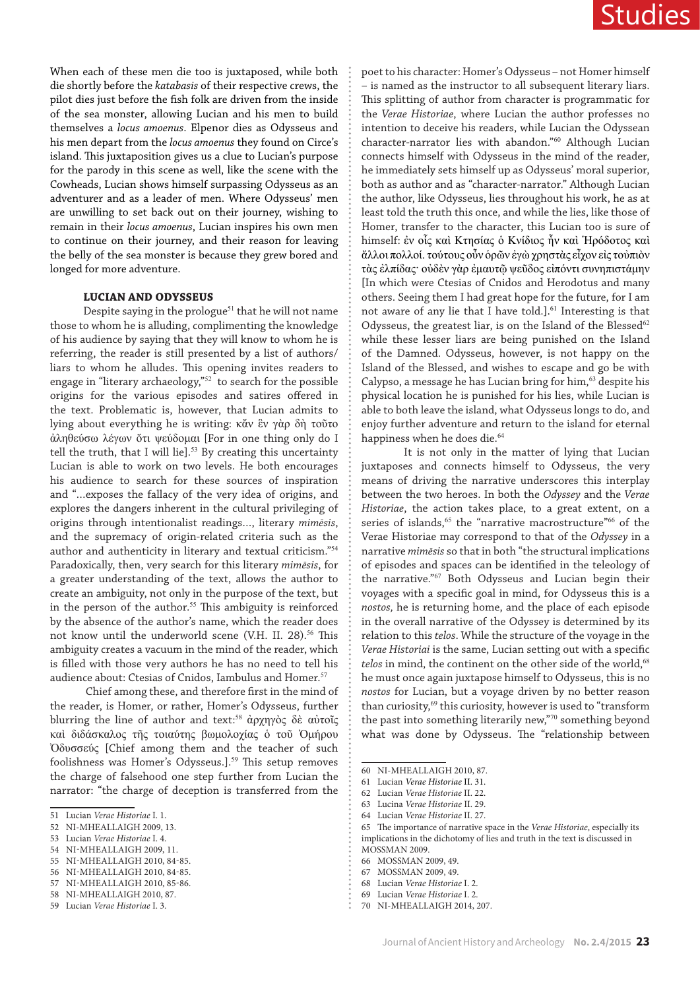When each of these men die too is juxtaposed, while both die shortly before the *katabasis* of their respective crews, the pilot dies just before the fish folk are driven from the inside of the sea monster, allowing Lucian and his men to build themselves a *locus amoenus*. Elpenor dies as Odysseus and his men depart from the *locus amoenus* they found on Circe's island. This juxtaposition gives us a clue to Lucian's purpose for the parody in this scene as well, like the scene with the Cowheads, Lucian shows himself surpassing Odysseus as an adventurer and as a leader of men. Where Odysseus' men are unwilling to set back out on their journey, wishing to remain in their *locus amoenus*, Lucian inspires his own men to continue on their journey, and their reason for leaving the belly of the sea monster is because they grew bored and longed for more adventure.

#### **LUCIAN AND ODYSSEUS**

Despite saying in the prologue<sup>51</sup> that he will not name those to whom he is alluding, complimenting the knowledge of his audience by saying that they will know to whom he is referring, the reader is still presented by a list of authors/ liars to whom he alludes. This opening invites readers to engage in "literary archaeology,"<sup>52</sup> to search for the possible origins for the various episodes and satires offered in the text. Problematic is, however, that Lucian admits to lying about everything he is writing: κἄν ἓν γὰρ δὴ τοῦτο ἀληθεύσω λέγων ὅτι ψεύδομαι [For in one thing only do I tell the truth, that I will lie].<sup>53</sup> By creating this uncertainty Lucian is able to work on two levels. He both encourages his audience to search for these sources of inspiration and "…exposes the fallacy of the very idea of origins, and explores the dangers inherent in the cultural privileging of origins through intentionalist readings…, literary *mimēsis*, and the supremacy of origin-related criteria such as the author and authenticity in literary and textual criticism."<sup>54</sup> Paradoxically, then, very search for this literary *mimēsis*, for a greater understanding of the text, allows the author to create an ambiguity, not only in the purpose of the text, but in the person of the author.<sup>55</sup> This ambiguity is reinforced by the absence of the author's name, which the reader does not know until the underworld scene (V.H. II. 28).<sup>56</sup> This ambiguity creates a vacuum in the mind of the reader, which is filled with those very authors he has no need to tell his audience about: Ctesias of Cnidos, Iambulus and Homer.<sup>57</sup>

 Chief among these, and therefore first in the mind of the reader, is Homer, or rather, Homer's Odysseus, further blurring the line of author and text:<sup>58</sup> ἀρχηγὸς δὲ αὐτοῖς καὶ διδάσκαλος τῆς τοιαύτης βωμολοχίας ὁ τοῦ Ὁμήρου Ὀδυσσεύς [Chief among them and the teacher of such foolishness was Homer's Odysseus.].<sup>59</sup> This setup removes the charge of falsehood one step further from Lucian the narrator: "the charge of deception is transferred from the

56 NI-MHEALLAIGH 2010, 84-85. 57 NI-MHEALLAIGH 2010, 85-86. poet to his character: Homer's Odysseus – not Homer himself – is named as the instructor to all subsequent literary liars. This splitting of author from character is programmatic for the *Verae Historiae*, where Lucian the author professes no intention to deceive his readers, while Lucian the Odyssean character-narrator lies with abandon."<sup>60</sup> Although Lucian connects himself with Odysseus in the mind of the reader, he immediately sets himself up as Odysseus' moral superior, both as author and as "character-narrator." Although Lucian the author, like Odysseus, lies throughout his work, he as at least told the truth this once, and while the lies, like those of Homer, transfer to the character, this Lucian too is sure of himself: ἐν οἷς καὶ Κτησίας ὁ Κνίδιος ἦν καὶ Ἡρόδοτος καὶ ἄλλοι πολλοί. τούτους οὖν ὁρῶν ἐγὼ χρηστὰς εἶχον εἰς τοὐπιὸν τὰς ἐλπίδας· οὐδὲν γὰρ ἐμαυτῷ ψεῦδος εἰπόντι συνηπιστάμην [In which were Ctesias of Cnidos and Herodotus and many others. Seeing them I had great hope for the future, for I am not aware of any lie that I have told.].<sup>61</sup> Interesting is that Odysseus, the greatest liar, is on the Island of the Blessed $62$ while these lesser liars are being punished on the Island of the Damned. Odysseus, however, is not happy on the Island of the Blessed, and wishes to escape and go be with Calypso, a message he has Lucian bring for him, $63$  despite his physical location he is punished for his lies, while Lucian is able to both leave the island, what Odysseus longs to do, and enjoy further adventure and return to the island for eternal happiness when he does die.<sup>64</sup>

It is not only in the matter of lying that Lucian juxtaposes and connects himself to Odysseus, the very means of driving the narrative underscores this interplay between the two heroes. In both the *Odyssey* and the *Verae Historiae*, the action takes place, to a great extent, on a series of islands,<sup>65</sup> the "narrative macrostructure"<sup>66</sup> of the Verae Historiae may correspond to that of the *Odyssey* in a narrative *mimēsis* so that in both "the structural implications of episodes and spaces can be identified in the teleology of the narrative."<sup>67</sup> Both Odysseus and Lucian begin their voyages with a specific goal in mind, for Odysseus this is a *nostos,* he is returning home, and the place of each episode in the overall narrative of the Odyssey is determined by its relation to this *telos*. While the structure of the voyage in the *Verae Historiai* is the same, Lucian setting out with a specific *telos* in mind, the continent on the other side of the world,<sup>68</sup> he must once again juxtapose himself to Odysseus, this is no *nostos* for Lucian, but a voyage driven by no better reason than curiosity,<sup>69</sup> this curiosity, however is used to "transform the past into something literarily new,"<sup>70</sup> something beyond what was done by Odysseus. The "relationship between

- 63 Lucina *Verae Historiae* II. 29.
- 64 Lucian *Verae Historiae* II. 27.

69 Lucian *Verae Historiae* I. 2.

<sup>51</sup> Lucian *Verae Historiae* I. 1.

<sup>52</sup> NI-MHEALLAIGH 2009, 13.

<sup>53</sup> Lucian *Verae Historiae* I. 4.

<sup>54</sup> NI-MHEALLAIGH 2009, 11.

<sup>55</sup> NI-MHEALLAIGH 2010, 84-85.

<sup>58</sup> NI-MHEALLAIGH 2010, 87.

<sup>59</sup> Lucian *Verae Historiae* I. 3.

<sup>60</sup> NI-MHEALLAIGH 2010, 87.

<sup>61</sup> Lucian *Verae Historiae* II. 31.

<sup>62</sup> Lucian *Verae Historiae* II. 22.

<sup>65</sup> The importance of narrative space in the *Verae Historiae*, especially its implications in the dichotomy of lies and truth in the text is discussed in MOSSMAN 2009.

<sup>66</sup> MOSSMAN 2009, 49.

<sup>67</sup> MOSSMAN 2009, 49.

<sup>68</sup> Lucian *Verae Historiae* I. 2.

<sup>70</sup> NI-MHEALLAIGH 2014, 207.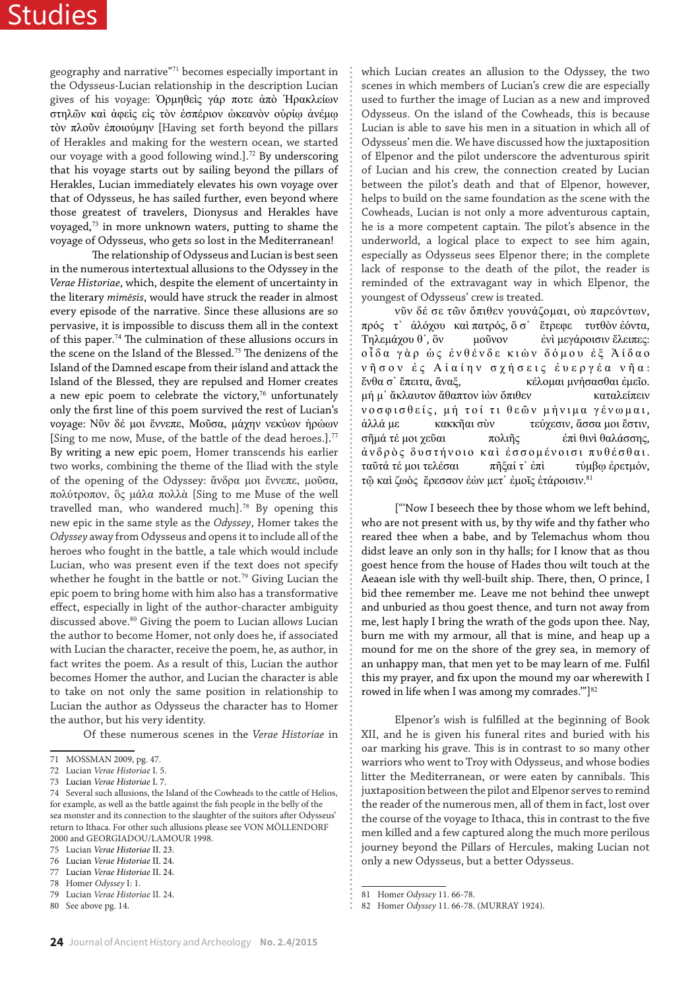# Studies

geography and narrative"<sup>71</sup> becomes especially important in the Odysseus-Lucian relationship in the description Lucian gives of his voyage: Ὁρμηθεὶς γάρ ποτε ἀπὸ Ἡρακλείων στηλῶν καὶ ἀφεὶς εἰς τὸν ἑσπέριον ὠκεανὸν οὐρίῳ ἀνέμῳ τὸν πλοῦν ἐποιούμην [Having set forth beyond the pillars of Herakles and making for the western ocean, we started our voyage with a good following wind.].<sup>72</sup> By underscoring that his voyage starts out by sailing beyond the pillars of Herakles, Lucian immediately elevates his own voyage over that of Odysseus, he has sailed further, even beyond where those greatest of travelers, Dionysus and Herakles have voyaged, $73$  in more unknown waters, putting to shame the voyage of Odysseus, who gets so lost in the Mediterranean!

The relationship of Odysseus and Lucian is best seen in the numerous intertextual allusions to the Odyssey in the *Verae Historiae*, which, despite the element of uncertainty in the literary *mimēsis*, would have struck the reader in almost every episode of the narrative. Since these allusions are so pervasive, it is impossible to discuss them all in the context of this paper.<sup>74</sup> The culmination of these allusions occurs in the scene on the Island of the Blessed.<sup>75</sup> The denizens of the Island of the Damned escape from their island and attack the Island of the Blessed, they are repulsed and Homer creates a new epic poem to celebrate the victory, $76$  unfortunately only the first line of this poem survived the rest of Lucian's voyage: Νῦν δέ μοι ἔννεπε, Μοῦσα, μάχην νεκύων ἡρώων [Sing to me now, Muse, of the battle of the dead heroes.].<sup>77</sup> By writing a new epic poem, Homer transcends his earlier two works, combining the theme of the Iliad with the style of the opening of the Odyssey: ἄνδρα μοι ἔννεπε, μοῦσα, πολύτροπον, ὃς μάλα πολλὰ [Sing to me Muse of the well travelled man, who wandered much].<sup>78</sup> By opening this new epic in the same style as the *Odyssey*, Homer takes the *Odyssey* away from Odysseus and opens it to include all of the heroes who fought in the battle, a tale which would include Lucian, who was present even if the text does not specify whether he fought in the battle or not.<sup>79</sup> Giving Lucian the epic poem to bring home with him also has a transformative effect, especially in light of the author-character ambiguity discussed above. $^{80}$  Giving the poem to Lucian allows Lucian the author to become Homer, not only does he, if associated with Lucian the character, receive the poem, he, as author, in fact writes the poem. As a result of this, Lucian the author becomes Homer the author, and Lucian the character is able to take on not only the same position in relationship to Lucian the author as Odysseus the character has to Homer the author, but his very identity.

Of these numerous scenes in the *Verae Historiae* in

which Lucian creates an allusion to the Odyssey, the two scenes in which members of Lucian's crew die are especially used to further the image of Lucian as a new and improved Odysseus. On the island of the Cowheads, this is because Lucian is able to save his men in a situation in which all of Odysseus' men die. We have discussed how the juxtaposition of Elpenor and the pilot underscore the adventurous spirit of Lucian and his crew, the connection created by Lucian between the pilot's death and that of Elpenor, however, helps to build on the same foundation as the scene with the Cowheads, Lucian is not only a more adventurous captain, he is a more competent captain. The pilot's absence in the underworld, a logical place to expect to see him again, especially as Odysseus sees Elpenor there; in the complete lack of response to the death of the pilot, the reader is reminded of the extravagant way in which Elpenor, the youngest of Odysseus' crew is treated.

νῦν δέ σε τῶν ὄπιθεν γουνάζομαι, οὐ παρεόντων, πρός τ᾽ ἀλόχου καὶ πατρός, ὅ σ᾽ ἔτρεφε τυτθὸν ἐόντα, Τηλεμάχου θ᾽, ὃν μοῦνον ἐνὶ μεγάροισιν ἔλειπες: οἶδα γὰρ ὡς ἐνθένδε κιὼν δόμου ἐξ Ἀίδαο νῆσον ἐ ς Αἰαίην σχήσεις ἐυεργέα νῆα : ἔνθα σ᾽ ἔπειτα, ἄναξ, κέλομαι μνήσασθαι ἐμεῖο. μή μ᾽ ἄκλαυτον ἄθαπτον ἰὼν ὄπιθεν καταλείπειν νοσφισθείς, μή τοί τι θεῶν μήνιμα γένωμαι, ἀλλά με κακκῆαι σὺν τεύχεσιν, ἅσσα μοι ἔστιν, σῆμά τέ μοι χεῦαι πολιῆς ἐπὶ θινὶ θαλάσσης, ἀνδρὸς δυστήνοιο καὶ ἐσσομένοισι πυθέσθαι . ταῦτά τέ μοι τελέσαι πῆξαί τ᾽ ἐπὶ τύμβῳ ἐρετμόν, τῷ καὶ ζωὸς ἔρεσσον ἐὼν μετ᾽ ἐμοῖς ἑτάροισιν. 81

["'Now I beseech thee by those whom we left behind, who are not present with us, by thy wife and thy father who reared thee when a babe, and by Telemachus whom thou didst leave an only son in thy halls; for I know that as thou goest hence from the house of Hades thou wilt touch at the Aeaean isle with thy well-built ship. There, then, O prince, I bid thee remember me. Leave me not behind thee unwept and unburied as thou goest thence, and turn not away from me, lest haply I bring the wrath of the gods upon thee. Nay, burn me with my armour, all that is mine, and heap up a mound for me on the shore of the grey sea, in memory of an unhappy man, that men yet to be may learn of me. Fulfil this my prayer, and fix upon the mound my oar wherewith I rowed in life when I was among my comrades." $]$ <sup>82</sup>

Elpenor's wish is fulfilled at the beginning of Book XII, and he is given his funeral rites and buried with his oar marking his grave. This is in contrast to so many other warriors who went to Troy with Odysseus, and whose bodies litter the Mediterranean, or were eaten by cannibals. This juxtaposition between the pilot and Elpenor serves to remind the reader of the numerous men, all of them in fact, lost over the course of the voyage to Ithaca, this in contrast to the five men killed and a few captured along the much more perilous journey beyond the Pillars of Hercules, making Lucian not only a new Odysseus, but a better Odysseus.

<sup>71</sup> MOSSMAN 2009, pg. 47.

<sup>72</sup> Lucian *Verae Historiae* I. 5.

<sup>73</sup> Lucian *Verae Historiae* I. 7.

<sup>74</sup> Several such allusions, the Island of the Cowheads to the cattle of Helios, for example, as well as the battle against the fish people in the belly of the sea monster and its connection to the slaughter of the suitors after Odysseus' return to Ithaca. For other such allusions please see VON MÖLLENDORF 2000 and GEORGIADOU/LAMOUR 1998.

<sup>75</sup> Lucian *Verae Historiae* II. 23.

<sup>76</sup> Lucian *Verae Historiae* II. 24.

<sup>77</sup> Lucian *Verae Historiae* II. 24.

<sup>78</sup> Homer *Odyssey* I: 1. 79 Lucian *Verae Historiae* II. 24.

<sup>80</sup> See above pg. 14.

<sup>81</sup> Homer *Odyssey* 11. 66-78.

<sup>82</sup> Homer *Odyssey* 11. 66-78. (MURRAY 1924).